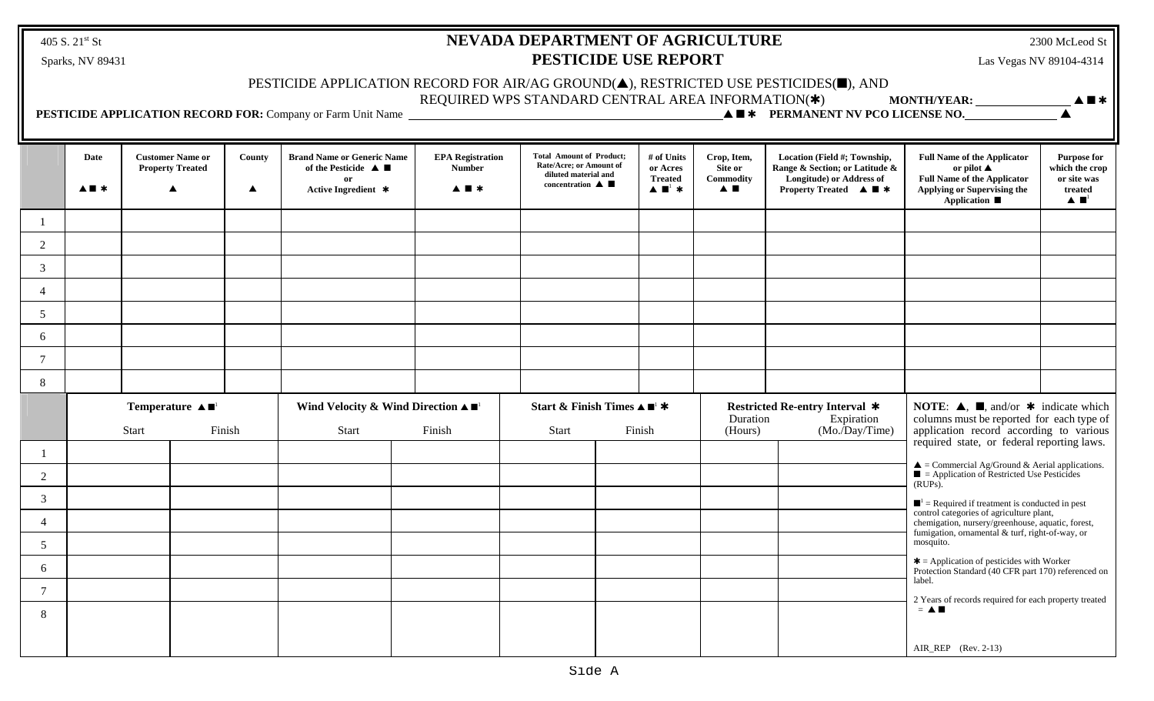405 S. 21<sup>st</sup> St

# **NEVADA DEPARTMENT OF AGRICULTURE** 2300 McLeod St Sparks, NV 89431 **PESTICIDE USE REPORT** Las Vegas NV 89104-4314

### PESTICIDE APPLICATION RECORD FOR AIR/AG GROUND $(\blacktriangle)$ , RESTRICTED USE PESTICIDES( $\blacksquare$ ), AND

REQUIRED WPS STANDARD CENTRAL AREA INFORMATION(\*) MONTH/YEAR: **• A F**\*

 **PESTICIDE APPLICATION RECORD FOR:** Company or Farm Unit Name • <sup>r</sup> **PERMANENT NV PCO LICENSE NO.** •

|                 | Date<br>$A \blacksquare *$ |  | <b>Customer Name or</b><br><b>Property Treated</b>                  | County<br>$\blacktriangle$ | <b>Brand Name or Generic Name</b><br>of the Pesticide $\triangle$ $\blacksquare$<br><sub>or</sub><br>Active Ingredient * | <b>EPA Registration</b><br><b>Number</b><br>$\blacktriangle \blacksquare$ | <b>Total Amount of Product;</b><br>Rate/Acre; or Amount of<br>diluted material and<br>concentration $\blacktriangle$ |  | # of Units<br>or Acres<br><b>Treated</b><br>$\blacktriangle \blacksquare$ *                              | Crop, Item,<br>Site or<br>Commodity<br>$\blacktriangle$ $\blacksquare$ | Location (Field #; Township,<br>Range & Section; or Latitude &<br>Longitude) or Address of<br><b>Property Treated <math>\triangle \blacksquare</math></b>                                                                          | <b>Full Name of the Applicator</b><br>or pilot $\blacktriangle$<br><b>Full Name of the Applicator</b><br>Applying or Supervising the<br><b>Application</b> ■ | <b>Purpose for</b><br>which the crop<br>or site was<br>treated<br>$\blacktriangle \blacksquare^1$ |  |
|-----------------|----------------------------|--|---------------------------------------------------------------------|----------------------------|--------------------------------------------------------------------------------------------------------------------------|---------------------------------------------------------------------------|----------------------------------------------------------------------------------------------------------------------|--|----------------------------------------------------------------------------------------------------------|------------------------------------------------------------------------|------------------------------------------------------------------------------------------------------------------------------------------------------------------------------------------------------------------------------------|--------------------------------------------------------------------------------------------------------------------------------------------------------------|---------------------------------------------------------------------------------------------------|--|
|                 |                            |  |                                                                     |                            |                                                                                                                          |                                                                           |                                                                                                                      |  |                                                                                                          |                                                                        |                                                                                                                                                                                                                                    |                                                                                                                                                              |                                                                                                   |  |
| $\overline{2}$  |                            |  |                                                                     |                            |                                                                                                                          |                                                                           |                                                                                                                      |  |                                                                                                          |                                                                        |                                                                                                                                                                                                                                    |                                                                                                                                                              |                                                                                                   |  |
| $\mathfrak{Z}$  |                            |  |                                                                     |                            |                                                                                                                          |                                                                           |                                                                                                                      |  |                                                                                                          |                                                                        |                                                                                                                                                                                                                                    |                                                                                                                                                              |                                                                                                   |  |
| $\overline{4}$  |                            |  |                                                                     |                            |                                                                                                                          |                                                                           |                                                                                                                      |  |                                                                                                          |                                                                        |                                                                                                                                                                                                                                    |                                                                                                                                                              |                                                                                                   |  |
| $\mathfrak{S}$  |                            |  |                                                                     |                            |                                                                                                                          |                                                                           |                                                                                                                      |  |                                                                                                          |                                                                        |                                                                                                                                                                                                                                    |                                                                                                                                                              |                                                                                                   |  |
| 6               |                            |  |                                                                     |                            |                                                                                                                          |                                                                           |                                                                                                                      |  |                                                                                                          |                                                                        |                                                                                                                                                                                                                                    |                                                                                                                                                              |                                                                                                   |  |
| $\overline{7}$  |                            |  |                                                                     |                            |                                                                                                                          |                                                                           |                                                                                                                      |  |                                                                                                          |                                                                        |                                                                                                                                                                                                                                    |                                                                                                                                                              |                                                                                                   |  |
| 8               |                            |  |                                                                     |                            |                                                                                                                          |                                                                           |                                                                                                                      |  |                                                                                                          |                                                                        |                                                                                                                                                                                                                                    |                                                                                                                                                              |                                                                                                   |  |
|                 |                            |  | Temperature $\blacktriangle \blacksquare$<br>Finish<br><b>Start</b> |                            | Wind Velocity & Wind Direction $\blacktriangle \blacksquare$<br>Finish<br>Start                                          |                                                                           | Start & Finish Times $\blacktriangle \blacksquare^1$ *<br>Finish<br><b>Start</b>                                     |  | <b>Restricted Re-entry Interval *</b><br>Duration<br>Expiration<br>$(Mo.\overline{Day/Time})$<br>(Hours) |                                                                        | <b>NOTE:</b> $\blacktriangle$ , $\blacksquare$ , and/or $\blacktriangleright$ indicate which<br>columns must be reported for each type of<br>application record according to various<br>required state, or federal reporting laws. |                                                                                                                                                              |                                                                                                   |  |
| $\mathbf{1}$    |                            |  |                                                                     |                            |                                                                                                                          |                                                                           |                                                                                                                      |  |                                                                                                          |                                                                        |                                                                                                                                                                                                                                    |                                                                                                                                                              |                                                                                                   |  |
| $\overline{2}$  |                            |  |                                                                     |                            |                                                                                                                          |                                                                           |                                                                                                                      |  |                                                                                                          |                                                                        |                                                                                                                                                                                                                                    | $\triangle$ = Commercial Ag/Ground & Aerial applications.<br>$\blacksquare$ = Application of Restricted Use Pesticides<br>$(RUPs)$ .                         |                                                                                                   |  |
| $\mathbf{3}$    |                            |  |                                                                     |                            |                                                                                                                          |                                                                           |                                                                                                                      |  |                                                                                                          |                                                                        |                                                                                                                                                                                                                                    | $\blacksquare$ <sup>1</sup> = Required if treatment is conducted in pest                                                                                     |                                                                                                   |  |
| $\overline{4}$  |                            |  |                                                                     |                            |                                                                                                                          |                                                                           |                                                                                                                      |  |                                                                                                          |                                                                        |                                                                                                                                                                                                                                    | control categories of agriculture plant,<br>chemigation, nursery/greenhouse, aquatic, forest,<br>fumigation, ornamental & turf, right-of-way, or             |                                                                                                   |  |
| $5\overline{)}$ |                            |  |                                                                     |                            |                                                                                                                          |                                                                           |                                                                                                                      |  |                                                                                                          |                                                                        |                                                                                                                                                                                                                                    | mosquito.                                                                                                                                                    |                                                                                                   |  |
| 6               |                            |  |                                                                     |                            |                                                                                                                          |                                                                           |                                                                                                                      |  |                                                                                                          |                                                                        |                                                                                                                                                                                                                                    | $\textbf{*}$ = Application of pesticides with Worker<br>Protection Standard (40 CFR part 170) referenced on                                                  |                                                                                                   |  |
| $\tau$          |                            |  |                                                                     |                            |                                                                                                                          |                                                                           |                                                                                                                      |  |                                                                                                          |                                                                        |                                                                                                                                                                                                                                    | label.<br>2 Years of records required for each property treated                                                                                              |                                                                                                   |  |
| 8               |                            |  |                                                                     |                            |                                                                                                                          |                                                                           |                                                                                                                      |  |                                                                                                          |                                                                        |                                                                                                                                                                                                                                    | $=$ $\blacktriangle$ $\blacksquare$                                                                                                                          |                                                                                                   |  |
|                 |                            |  |                                                                     |                            |                                                                                                                          |                                                                           |                                                                                                                      |  |                                                                                                          |                                                                        |                                                                                                                                                                                                                                    | $AIR\_REP$ (Rev. 2-13)                                                                                                                                       |                                                                                                   |  |